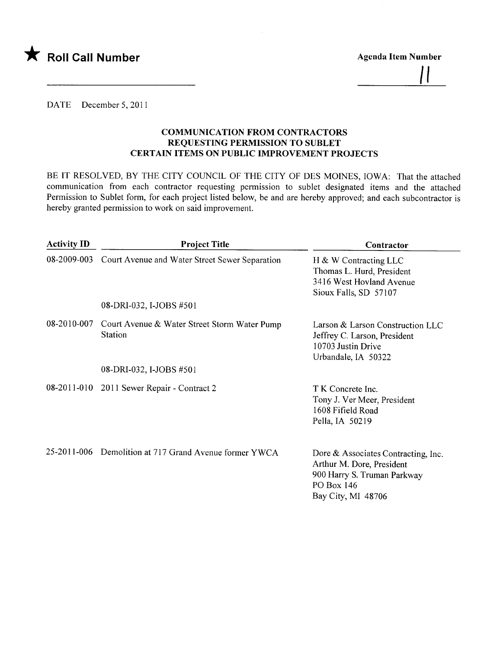

Agenda Item Number II

#### DATE December 5, 2011

#### COMMUNICATION FROM CONTRACTORS REQUESTING PERMISSION TO SUBLET CERTAIN ITEMS ON PUBLIC IMPROVEMENT PROJECTS

BE IT RESOLVED, BY THE CITY COUNCIL OF THE CITY OF DES MOINES, IOWA: That the attached communication from each contractor requesting permission to sublet designated items and the attached Permission to Sublet form, for each project listed below, be and are hereby approved; and each subcontractor is hereby granted permission to work on said improvement.

| <b>Activity ID</b> | <b>Project Title</b>                                           | Contractor                                                                                                                          |
|--------------------|----------------------------------------------------------------|-------------------------------------------------------------------------------------------------------------------------------------|
|                    | 08-2009-003 Court Avenue and Water Street Sewer Separation     | H & W Contracting LLC<br>Thomas L. Hurd, President<br>3416 West Hovland Avenue<br>Sioux Falls, SD 57107                             |
|                    | 08-DRI-032, I-JOBS #501                                        |                                                                                                                                     |
| 08-2010-007        | Court Avenue & Water Street Storm Water Pump<br><b>Station</b> | Larson & Larson Construction LLC<br>Jeffrey C. Larson, President<br>10703 Justin Drive<br>Urbandale, IA 50322                       |
|                    | 08-DRI-032, I-JOBS #501                                        |                                                                                                                                     |
|                    | 08-2011-010 2011 Sewer Repair - Contract 2                     | T K Concrete Inc.<br>Tony J. Ver Meer, President<br>1608 Fifield Road<br>Pella, IA 50219                                            |
|                    | 25-2011-006 Demolition at 717 Grand Avenue former YWCA         | Dore & Associates Contracting, Inc.<br>Arthur M. Dore, President<br>900 Harry S. Truman Parkway<br>PO Box 146<br>Bay City, MI 48706 |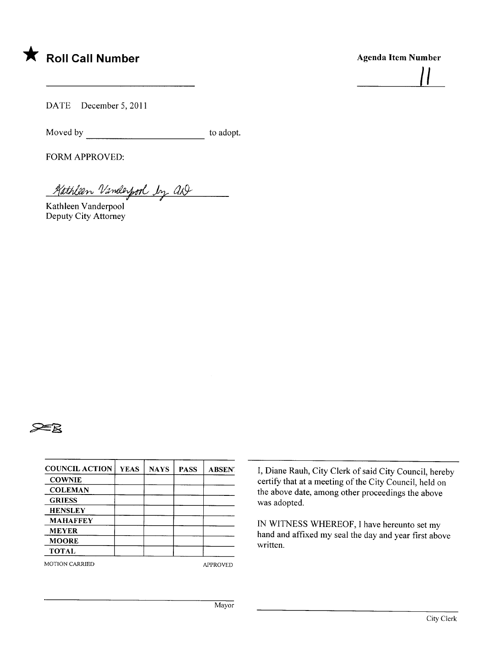

# Agenda Item Number  $\frac{1}{2}$

DATE December 5, 2011

Moved by to adopt.

FORM APPROVED:

Kathleen Vanderpool by aD

Kathleen Vanderpool Deputy City Attorney



| <b>COUNCIL ACTION</b> | <b>YEAS</b> | <b>NAYS</b> | <b>PASS</b> | <b>ABSEN</b> |
|-----------------------|-------------|-------------|-------------|--------------|
| <b>COWNIE</b>         |             |             |             |              |
| <b>COLEMAN</b>        |             |             |             |              |
| <b>GRIESS</b>         |             |             |             |              |
| <b>HENSLEY</b>        |             |             |             |              |
| <b>MAHAFFEY</b>       |             |             |             |              |
| <b>MEYER</b>          |             |             |             |              |
| <b>MOORE</b>          |             |             |             |              |
| <b>TOTAL</b>          |             |             |             |              |

MOTION CARRIED APPROVED

I, Diane Rauh, City Clerk of said City Council, hereby certify that at a meeting of the City Council, held on the above date, among other proceedings the above was adopted.

IN WITNESS WHEREOF, I have hereunto set my hand and affxed my seal the day and year first above written.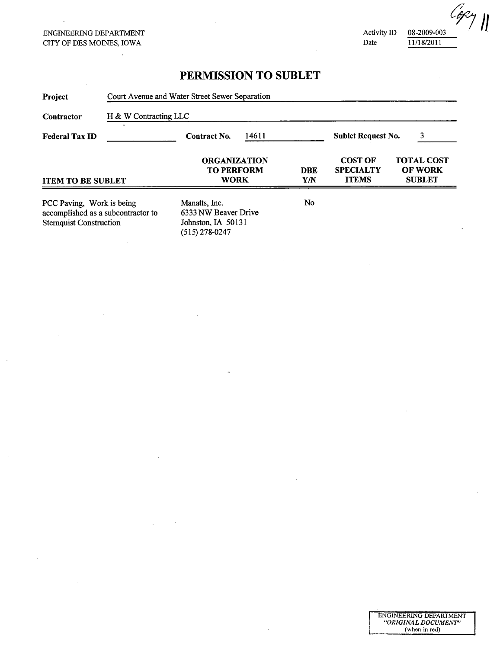ENGINERIG DEPARTMENT CITY OF DES MOINS, IOWA

 $\bar{\mathcal{A}}$ 

 $\ddot{\phantom{a}}$ 

 $\bar{z}$ 

 $\sim$ 

 $\ddot{\phantom{a}}$ 

Activity ID Date

08-2009-003 11/18/2011

 $\bar{\phantom{a}}$ 

| Project                                                                                           | Court Avenue and Water Street Sewer Separation<br>H & W Contracting LLC |                                                                                 |  |                                |                                                    |                                                      |  |
|---------------------------------------------------------------------------------------------------|-------------------------------------------------------------------------|---------------------------------------------------------------------------------|--|--------------------------------|----------------------------------------------------|------------------------------------------------------|--|
| Contractor                                                                                        |                                                                         |                                                                                 |  |                                |                                                    |                                                      |  |
| <b>Federal Tax ID</b>                                                                             |                                                                         | 14611<br><b>Contract No.</b>                                                    |  | 3<br><b>Sublet Request No.</b> |                                                    |                                                      |  |
| <b>ITEM TO BE SUBLET</b>                                                                          |                                                                         | <b>ORGANIZATION</b><br><b>TO PERFORM</b><br><b>WORK</b>                         |  | <b>DBE</b><br>Y/N              | <b>COST OF</b><br><b>SPECIALTY</b><br><b>ITEMS</b> | <b>TOTAL COST</b><br><b>OF WORK</b><br><b>SUBLET</b> |  |
| PCC Paving, Work is being<br>accomplished as a subcontractor to<br><b>Sternquist Construction</b> |                                                                         | Manatts, Inc.<br>6333 NW Beaver Drive<br>Johnston, IA 50131<br>$(515)$ 278-0247 |  | No.                            |                                                    |                                                      |  |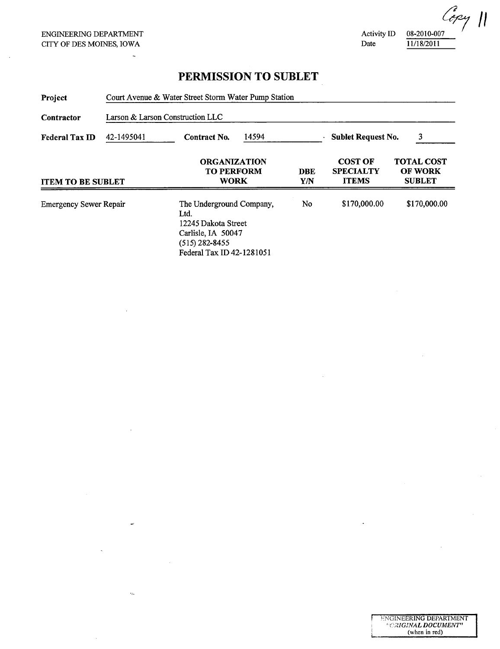$\sim$ 

 $\bar{\mathcal{L}}$ 

 $\bar{z}$ 

 $\epsilon_{\rm th}$ 

Activity ID Date

 $C_{c2}$ <sup>2</sup> 11/18/2011

| Project                       | Court Avenue & Water Street Storm Water Pump Station<br>Larson & Larson Construction LLC |                                                                                                                                |                   |                                                    |                                                      |              |  |
|-------------------------------|------------------------------------------------------------------------------------------|--------------------------------------------------------------------------------------------------------------------------------|-------------------|----------------------------------------------------|------------------------------------------------------|--------------|--|
| Contractor                    |                                                                                          |                                                                                                                                |                   |                                                    |                                                      |              |  |
| <b>Federal Tax ID</b>         | 42-1495041                                                                               | <b>Contract No.</b>                                                                                                            | 14594             |                                                    | 3<br><b>Sublet Request No.</b>                       |              |  |
| <b>ITEM TO BE SUBLET</b>      | <b>ORGANIZATION</b><br><b>TO PERFORM</b><br><b>WORK</b>                                  |                                                                                                                                | <b>DBE</b><br>Y/N | <b>COST OF</b><br><b>SPECIALTY</b><br><b>ITEMS</b> | <b>TOTAL COST</b><br><b>OF WORK</b><br><b>SUBLET</b> |              |  |
| <b>Emergency Sewer Repair</b> |                                                                                          | The Underground Company,<br>Ltd.<br>12245 Dakota Street<br>Carlisle, IA 50047<br>$(515)$ 282-8455<br>Federal Tax ID 42-1281051 |                   | No                                                 | \$170,000.00                                         | \$170,000.00 |  |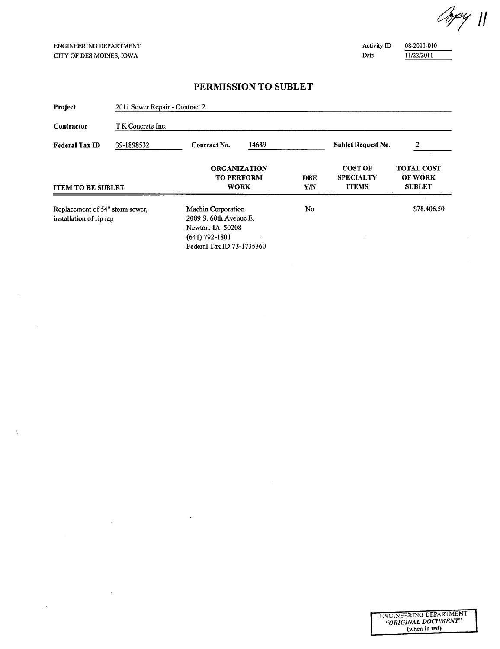$\ddot{\phantom{a}}$ 

 $\mathcal{L}$ 

 $\bar{z}$ 

 $\bar{r}$ 

 $\mathcal{A}$ 

 $\frac{1}{2}$  .

Copy 11

Activity ID Date

08-2011 -0 10 1122/2011

| Project                                                    | 2011 Sewer Repair - Contract 2 |                                                                                                                     |                                                         |                           |                                                    |                                                      |  |  |
|------------------------------------------------------------|--------------------------------|---------------------------------------------------------------------------------------------------------------------|---------------------------------------------------------|---------------------------|----------------------------------------------------|------------------------------------------------------|--|--|
| Contractor                                                 | T K Concrete Inc.              |                                                                                                                     |                                                         |                           |                                                    |                                                      |  |  |
| <b>Federal Tax ID</b>                                      | 39-1898532                     | 14689<br>Contract No.                                                                                               |                                                         | <b>Sublet Request No.</b> | 2                                                  |                                                      |  |  |
| <b>ITEM TO BE SUBLET</b>                                   |                                |                                                                                                                     | <b>ORGANIZATION</b><br><b>TO PERFORM</b><br><b>WORK</b> |                           | <b>COST OF</b><br><b>SPECIALTY</b><br><b>ITEMS</b> | <b>TOTAL COST</b><br><b>OF WORK</b><br><b>SUBLET</b> |  |  |
| Replacement of 54" storm sewer,<br>installation of rip rap |                                | Machin Corporation<br>2089 S. 60th Avenue E.<br>Newton, IA 50208<br>$(641) 792 - 1801$<br>Federal Tax ID 73-1735360 |                                                         | No.                       |                                                    | \$78,406.50                                          |  |  |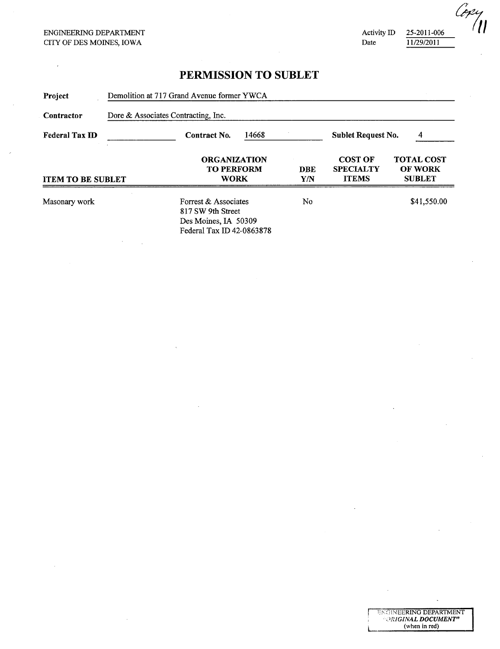**Activity ID** Date

25-2011-006 11/29/2011

r i: ENGINEERING DEPARTMENT .<br>. *. . - ORIGINAL DOCUMENT* . (when in red)

 $^{7}$ (1)

| Project                  | Demolition at 717 Grand Avenue former YWCA<br>Dore & Associates Contracting, Inc. |                                                                                                |  |            |                                                    |                                                      |  |
|--------------------------|-----------------------------------------------------------------------------------|------------------------------------------------------------------------------------------------|--|------------|----------------------------------------------------|------------------------------------------------------|--|
| Contractor               |                                                                                   |                                                                                                |  |            |                                                    |                                                      |  |
| <b>Federal Tax ID</b>    | 14668<br><b>Contract No.</b>                                                      |                                                                                                |  |            | <b>Sublet Request No.</b><br>4                     |                                                      |  |
| <b>ITEM TO BE SUBLET</b> |                                                                                   | <b>ORGANIZATION</b><br><b>TO PERFORM</b><br><b>WORK</b>                                        |  | DBE<br>Y/N | <b>COST OF</b><br><b>SPECIALTY</b><br><b>ITEMS</b> | <b>TOTAL COST</b><br><b>OF WORK</b><br><b>SUBLET</b> |  |
| Masonary work            |                                                                                   | Forrest & Associates<br>817 SW 9th Street<br>Des Moines, IA 50309<br>Federal Tax ID 42-0863878 |  | No         |                                                    | \$41,550.00                                          |  |